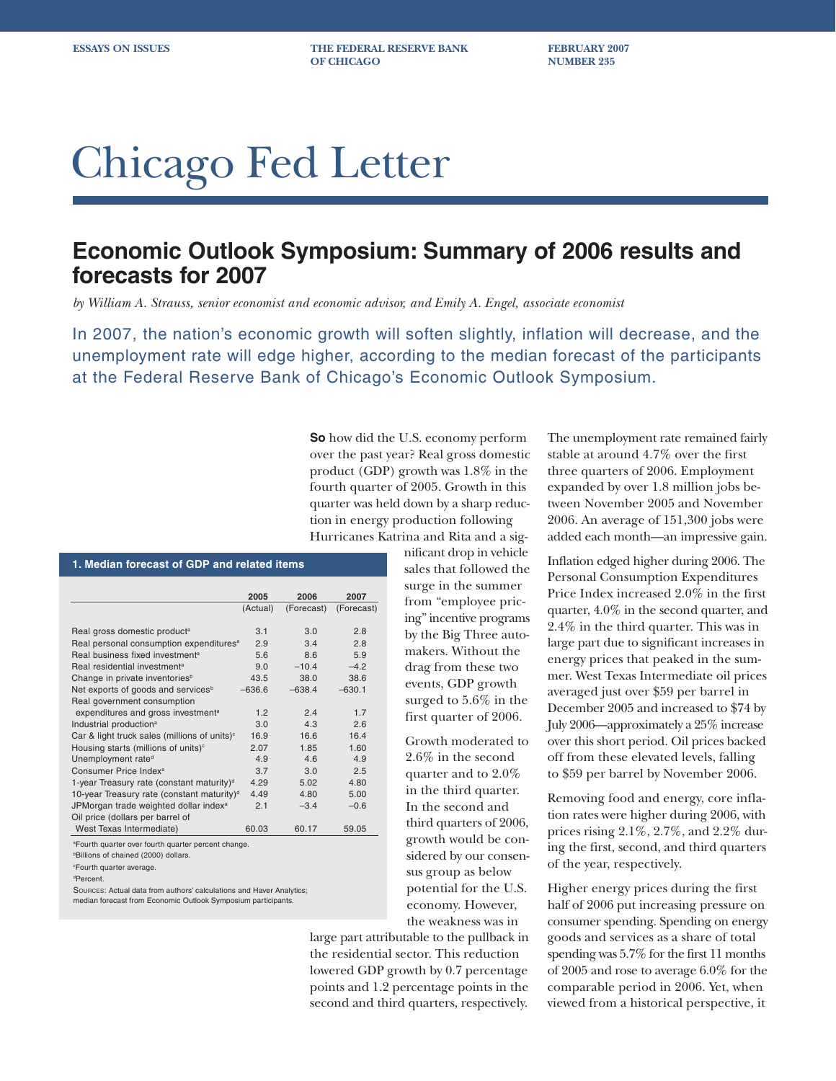**ESSAYS ON ISSUES THE FEDERAL RESERVE BANK FEBRUARY 2007 OF CHICAGO NUMBER 235** 

# Chicago Fed Letter

## **Economic Outlook Symposium: Summary of 2006 results and forecasts for 2007**

*by William A. Strauss, senior economist and economic advisor, and Emily A. Engel, associate economist*

In 2007, the nation's economic growth will soften slightly, inflation will decrease, and the unemployment rate will edge higher, according to the median forecast of the participants at the Federal Reserve Bank of Chicago's Economic Outlook Symposium.

> **So** how did the U.S. economy perform over the past year? Real gross domestic product (GDP) growth was 1.8% in the fourth quarter of 2005. Growth in this quarter was held down by a sharp reduction in energy production following Hurricanes Katrina and Rita and a sig-

|                                                        | 2005     | 2006       | 2007       |
|--------------------------------------------------------|----------|------------|------------|
|                                                        | (Actual) | (Forecast) | (Forecast) |
|                                                        |          |            |            |
| Real gross domestic product <sup>a</sup>               | 3.1      | 3.0        | 2.8        |
| Real personal consumption expenditures <sup>a</sup>    | 2.9      | 3.4        | 2.8        |
| Real business fixed investment <sup>a</sup>            | 5.6      | 8.6        | 5.9        |
| Real residential investment <sup>a</sup>               | 9.0      | $-10.4$    | $-4.2$     |
| Change in private inventories <sup>b</sup>             | 43.5     | 38.0       | 38.6       |
| Net exports of goods and services <sup>b</sup>         | $-636.6$ | $-638.4$   | $-630.1$   |
| Real government consumption                            |          |            |            |
| expenditures and gross investment <sup>a</sup>         | 1.2      | 2.4        | 1.7        |
| Industrial production <sup>a</sup>                     | 3.0      | 4.3        | 2.6        |
| Car & light truck sales (millions of units) $\circ$    | 16.9     | 16.6       | 16.4       |
| Housing starts (millions of units) <sup>c</sup>        | 2.07     | 1.85       | 1.60       |
| Unemployment rate <sup>d</sup>                         | 4.9      | 4.6        | 4.9        |
| Consumer Price Index <sup>a</sup>                      | 3.7      | 3.0        | 2.5        |
| 1-year Treasury rate (constant maturity) <sup>d</sup>  | 4.29     | 5.02       | 4.80       |
| 10-year Treasury rate (constant maturity) <sup>d</sup> | 4.49     | 4.80       | 5.00       |
| JPMorgan trade weighted dollar index <sup>a</sup>      | 2.1      | $-3.4$     | $-0.6$     |
| Oil price (dollars per barrel of                       |          |            |            |
| West Texas Intermediate)                               | 60.03    | 60.17      | 59.05      |

a Fourth quarter over fourth quarter percent change.

bBillions of chained (2000) dollars.

c Fourth quarter average.

dPercent.

SOURCES: Actual data from authors' calculations and Haver Analytics; median forecast from Economic Outlook Symposium participants.

nificant drop in vehicle sales that followed the surge in the summer from "employee pricing" incentive programs by the Big Three automakers. Without the drag from these two events, GDP growth surged to 5.6% in the first quarter of 2006.

Growth moderated to 2.6% in the second quarter and to 2.0% in the third quarter. In the second and third quarters of 2006, growth would be considered by our consensus group as below potential for the U.S. economy. However, the weakness was in

large part attributable to the pullback in the residential sector. This reduction lowered GDP growth by 0.7 percentage points and 1.2 percentage points in the second and third quarters, respectively. The unemployment rate remained fairly stable at around 4.7% over the first three quarters of 2006. Employment expanded by over 1.8 million jobs between November 2005 and November 2006. An average of 151,300 jobs were added each month—an impressive gain.

Inflation edged higher during 2006. The Personal Consumption Expenditures Price Index increased 2.0% in the first quarter, 4.0% in the second quarter, and 2.4% in the third quarter. This was in large part due to significant increases in energy prices that peaked in the summer. West Texas Intermediate oil prices averaged just over \$59 per barrel in December 2005 and increased to \$74 by July 2006—approximately a 25% increase over this short period. Oil prices backed off from these elevated levels, falling to \$59 per barrel by November 2006.

Removing food and energy, core inflation rates were higher during 2006, with prices rising 2.1%, 2.7%, and 2.2% during the first, second, and third quarters of the year, respectively.

Higher energy prices during the first half of 2006 put increasing pressure on consumer spending. Spending on energy goods and services as a share of total spending was 5.7% for the first 11 months of 2005 and rose to average 6.0% for the comparable period in 2006. Yet, when viewed from a historical perspective, it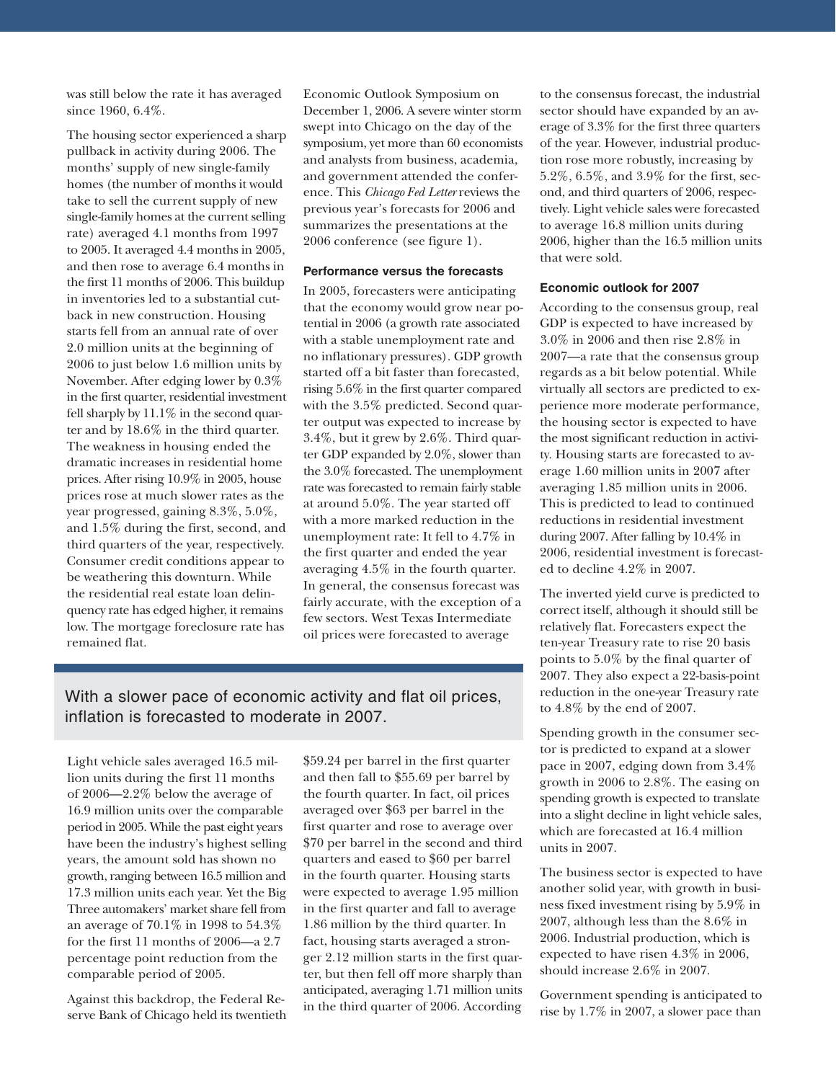was still below the rate it has averaged since 1960, 6.4%.

The housing sector experienced a sharp pullback in activity during 2006. The months' supply of new single-family homes (the number of months it would take to sell the current supply of new single-family homes at the current selling rate) averaged 4.1 months from 1997 to 2005. It averaged 4.4 months in 2005, and then rose to average 6.4 months in the first 11 months of 2006. This buildup in inventories led to a substantial cutback in new construction. Housing starts fell from an annual rate of over 2.0 million units at the beginning of 2006 to just below 1.6 million units by November. After edging lower by 0.3% in the first quarter, residential investment fell sharply by 11.1% in the second quarter and by 18.6% in the third quarter. The weakness in housing ended the dramatic increases in residential home prices. After rising 10.9% in 2005, house prices rose at much slower rates as the year progressed, gaining 8.3%, 5.0%, and 1.5% during the first, second, and third quarters of the year, respectively. Consumer credit conditions appear to be weathering this downturn. While the residential real estate loan delinquency rate has edged higher, it remains low. The mortgage foreclosure rate has remained flat.

Economic Outlook Symposium on December 1, 2006. A severe winter storm swept into Chicago on the day of the symposium, yet more than 60 economists and analysts from business, academia, and government attended the conference. This *Chicago Fed Letter* reviews the previous year's forecasts for 2006 and summarizes the presentations at the 2006 conference (see figure 1).

#### **Performance versus the forecasts**

In 2005, forecasters were anticipating that the economy would grow near potential in 2006 (a growth rate associated with a stable unemployment rate and no inflationary pressures). GDP growth started off a bit faster than forecasted, rising 5.6% in the first quarter compared with the 3.5% predicted. Second quarter output was expected to increase by 3.4%, but it grew by 2.6%. Third quarter GDP expanded by 2.0%, slower than the 3.0% forecasted. The unemployment rate was forecasted to remain fairly stable at around 5.0%. The year started off with a more marked reduction in the unemployment rate: It fell to 4.7% in the first quarter and ended the year averaging 4.5% in the fourth quarter. In general, the consensus forecast was fairly accurate, with the exception of a few sectors. West Texas Intermediate oil prices were forecasted to average

### With a slower pace of economic activity and flat oil prices, inflation is forecasted to moderate in 2007.

Light vehicle sales averaged 16.5 million units during the first 11 months of 2006—2.2% below the average of 16.9 million units over the comparable period in 2005. While the past eight years have been the industry's highest selling years, the amount sold has shown no growth, ranging between 16.5 million and 17.3 million units each year. Yet the Big Three automakers' market share fell from an average of 70.1% in 1998 to 54.3% for the first 11 months of 2006—a 2.7 percentage point reduction from the comparable period of 2005.

Against this backdrop, the Federal Reserve Bank of Chicago held its twentieth \$59.24 per barrel in the first quarter and then fall to \$55.69 per barrel by the fourth quarter. In fact, oil prices averaged over \$63 per barrel in the first quarter and rose to average over \$70 per barrel in the second and third quarters and eased to \$60 per barrel in the fourth quarter. Housing starts were expected to average 1.95 million in the first quarter and fall to average 1.86 million by the third quarter. In fact, housing starts averaged a stronger 2.12 million starts in the first quarter, but then fell off more sharply than anticipated, averaging 1.71 million units in the third quarter of 2006. According

to the consensus forecast, the industrial sector should have expanded by an average of 3.3% for the first three quarters of the year. However, industrial production rose more robustly, increasing by 5.2%, 6.5%, and 3.9% for the first, second, and third quarters of 2006, respectively. Light vehicle sales were forecasted to average 16.8 million units during 2006, higher than the 16.5 million units that were sold.

#### **Economic outlook for 2007**

According to the consensus group, real GDP is expected to have increased by 3.0% in 2006 and then rise 2.8% in 2007—a rate that the consensus group regards as a bit below potential. While virtually all sectors are predicted to experience more moderate performance, the housing sector is expected to have the most significant reduction in activity. Housing starts are forecasted to average 1.60 million units in 2007 after averaging 1.85 million units in 2006. This is predicted to lead to continued reductions in residential investment during 2007. After falling by 10.4% in 2006, residential investment is forecasted to decline 4.2% in 2007.

The inverted yield curve is predicted to correct itself, although it should still be relatively flat. Forecasters expect the ten-year Treasury rate to rise 20 basis points to 5.0% by the final quarter of 2007. They also expect a 22-basis-point reduction in the one-year Treasury rate to 4.8% by the end of 2007.

Spending growth in the consumer sector is predicted to expand at a slower pace in 2007, edging down from 3.4% growth in 2006 to 2.8%. The easing on spending growth is expected to translate into a slight decline in light vehicle sales, which are forecasted at 16.4 million units in 2007.

The business sector is expected to have another solid year, with growth in business fixed investment rising by 5.9% in 2007, although less than the 8.6% in 2006. Industrial production, which is expected to have risen 4.3% in 2006, should increase 2.6% in 2007.

Government spending is anticipated to rise by 1.7% in 2007, a slower pace than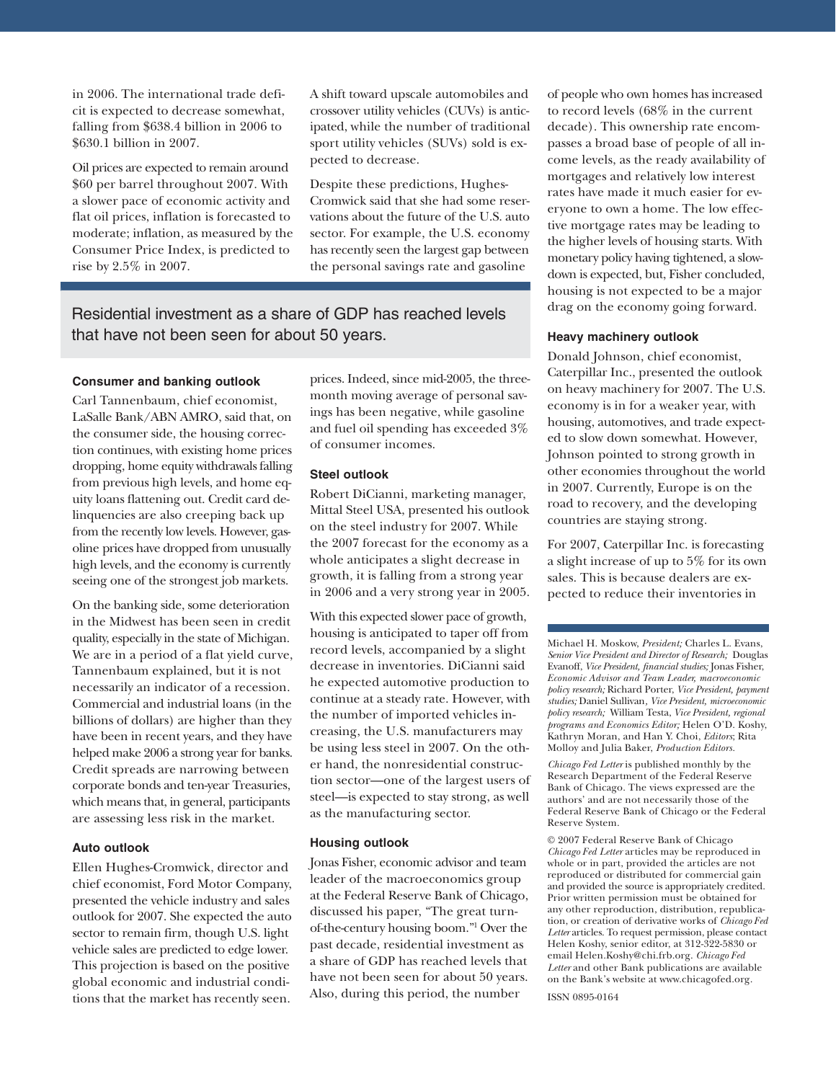in 2006. The international trade deficit is expected to decrease somewhat, falling from \$638.4 billion in 2006 to \$630.1 billion in 2007.

Oil prices are expected to remain around \$60 per barrel throughout 2007. With a slower pace of economic activity and flat oil prices, inflation is forecasted to moderate; inflation, as measured by the Consumer Price Index, is predicted to rise by 2.5% in 2007.

A shift toward upscale automobiles and crossover utility vehicles (CUVs) is anticipated, while the number of traditional sport utility vehicles (SUVs) sold is expected to decrease.

Despite these predictions, Hughes-Cromwick said that she had some reservations about the future of the U.S. auto sector. For example, the U.S. economy has recently seen the largest gap between the personal savings rate and gasoline

### Residential investment as a share of GDP has reached levels that have not been seen for about 50 years.

#### **Consumer and banking outlook**

Carl Tannenbaum, chief economist, LaSalle Bank/ABN AMRO, said that, on the consumer side, the housing correction continues, with existing home prices dropping, home equity withdrawals falling from previous high levels, and home equity loans flattening out. Credit card delinquencies are also creeping back up from the recently low levels. However, gasoline prices have dropped from unusually high levels, and the economy is currently seeing one of the strongest job markets.

On the banking side, some deterioration in the Midwest has been seen in credit quality, especially in the state of Michigan. We are in a period of a flat yield curve, Tannenbaum explained, but it is not necessarily an indicator of a recession. Commercial and industrial loans (in the billions of dollars) are higher than they have been in recent years, and they have helped make 2006 a strong year for banks. Credit spreads are narrowing between corporate bonds and ten-year Treasuries, which means that, in general, participants are assessing less risk in the market.

#### **Auto outlook**

Ellen Hughes-Cromwick, director and chief economist, Ford Motor Company, presented the vehicle industry and sales outlook for 2007. She expected the auto sector to remain firm, though U.S. light vehicle sales are predicted to edge lower. This projection is based on the positive global economic and industrial conditions that the market has recently seen.

prices. Indeed, since mid-2005, the threemonth moving average of personal savings has been negative, while gasoline and fuel oil spending has exceeded 3% of consumer incomes.

#### **Steel outlook**

Robert DiCianni, marketing manager, Mittal Steel USA, presented his outlook on the steel industry for 2007. While the 2007 forecast for the economy as a whole anticipates a slight decrease in growth, it is falling from a strong year in 2006 and a very strong year in 2005.

With this expected slower pace of growth, housing is anticipated to taper off from record levels, accompanied by a slight decrease in inventories. DiCianni said he expected automotive production to continue at a steady rate. However, with the number of imported vehicles increasing, the U.S. manufacturers may be using less steel in 2007. On the other hand, the nonresidential construction sector—one of the largest users of steel—is expected to stay strong, as well as the manufacturing sector.

#### **Housing outlook**

Jonas Fisher, economic advisor and team leader of the macroeconomics group at the Federal Reserve Bank of Chicago, discussed his paper, "The great turnof-the-century housing boom."1 Over the past decade, residential investment as a share of GDP has reached levels that have not been seen for about 50 years. Also, during this period, the number

of people who own homes has increased to record levels (68% in the current decade). This ownership rate encompasses a broad base of people of all income levels, as the ready availability of mortgages and relatively low interest rates have made it much easier for everyone to own a home. The low effective mortgage rates may be leading to the higher levels of housing starts. With monetary policy having tightened, a slowdown is expected, but, Fisher concluded, housing is not expected to be a major drag on the economy going forward.

#### **Heavy machinery outlook**

Donald Johnson, chief economist, Caterpillar Inc., presented the outlook on heavy machinery for 2007. The U.S. economy is in for a weaker year, with housing, automotives, and trade expected to slow down somewhat. However, Johnson pointed to strong growth in other economies throughout the world in 2007. Currently, Europe is on the road to recovery, and the developing countries are staying strong.

For 2007, Caterpillar Inc. is forecasting a slight increase of up to 5% for its own sales. This is because dealers are expected to reduce their inventories in

Michael H. Moskow, *President;* Charles L. Evans, *Senior Vice President and Director of Research;* Douglas Evanoff, *Vice President, financial studies;* Jonas Fisher, *Economic Advisor and Team Leader, macroeconomic policy research;* Richard Porter, *Vice President, payment studies;* Daniel Sullivan*, Vice President, microeconomic policy research;* William Testa, *Vice President, regional programs and Economics Editor;* Helen O'D. Koshy, Kathryn Moran, and Han Y. Choi, *Editors*; Rita Molloy and Julia Baker, *Production Editors.*

*Chicago Fed Letter* is published monthly by the Research Department of the Federal Reserve Bank of Chicago. The views expressed are the authors' and are not necessarily those of the Federal Reserve Bank of Chicago or the Federal Reserve System.

© 2007 Federal Reserve Bank of Chicago *Chicago Fed Letter* articles may be reproduced in whole or in part, provided the articles are not reproduced or distributed for commercial gain and provided the source is appropriately credited. Prior written permission must be obtained for any other reproduction, distribution, republication, or creation of derivative works of *Chicago Fed Letter* articles. To request permission, please contact Helen Koshy, senior editor, at 312-322-5830 or email Helen.Koshy@chi.frb.org. *Chicago Fed Letter* and other Bank publications are available on the Bank's website at www.chicagofed.org.

ISSN 0895-0164